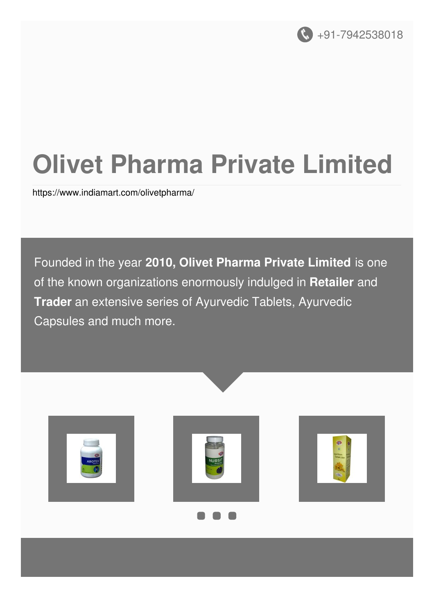

# **Olivet Pharma Private Limited**

<https://www.indiamart.com/olivetpharma/>

Founded in the year **2010, Olivet Pharma Private Limited** is one of the known organizations enormously indulged in **Retailer** and **Trader** an extensive series of Ayurvedic Tablets, Ayurvedic Capsules and much more.





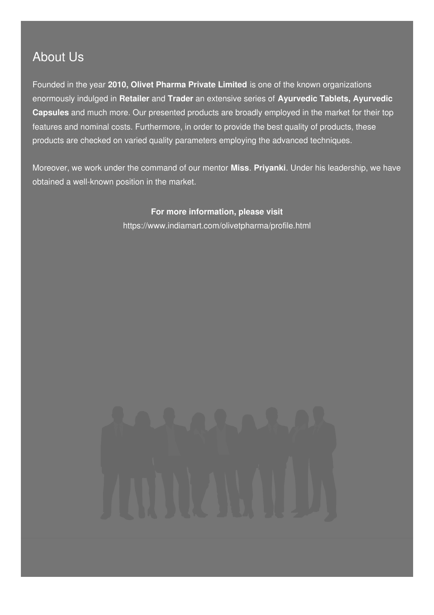### About Us

Founded in the year **2010, Olivet Pharma Private Limited** is one of the known organizations enormously indulged in **Retailer** and **Trader** an extensive series of **Ayurvedic Tablets, Ayurvedic Capsules** and much more. Our presented products are broadly employed in the market for their top features and nominal costs. Furthermore, in order to provide the best quality of products, these products are checked on varied quality parameters employing the advanced techniques.

Moreover, we work under the command of our mentor **Miss**. **Priyanki**. Under his leadership, we have obtained a well-known position in the market.

> **For more information, please visit** <https://www.indiamart.com/olivetpharma/profile.html>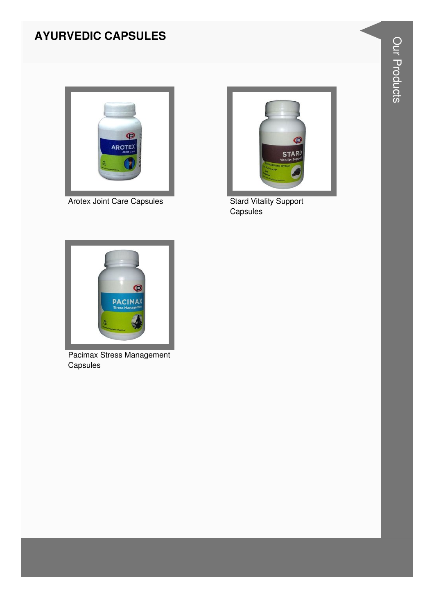### **AYURVEDIC CAPSULES**



**Arotex Joint Care Capsules** 



Stard Vitality Support<br>Capsules



Pacimax Stress Management Capsules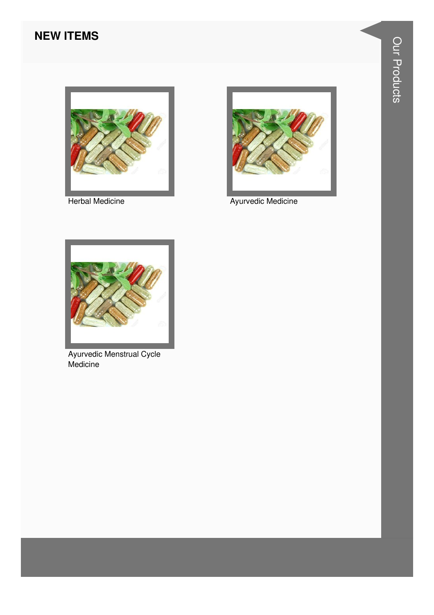#### **NEW ITEMS**



**Herbal Medicine** 



**Ayurvedic Medicine** 



Ayurvedic Menstrual Cycle<br>Medicine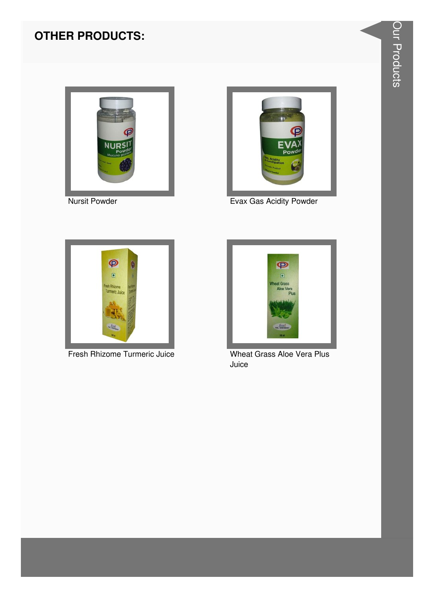

**Nursit Powder** 



Evax Gas Acidity Powder



Fresh Rhizome Turmeric Juice



Wheat Grass Aloe Vera Plus Juice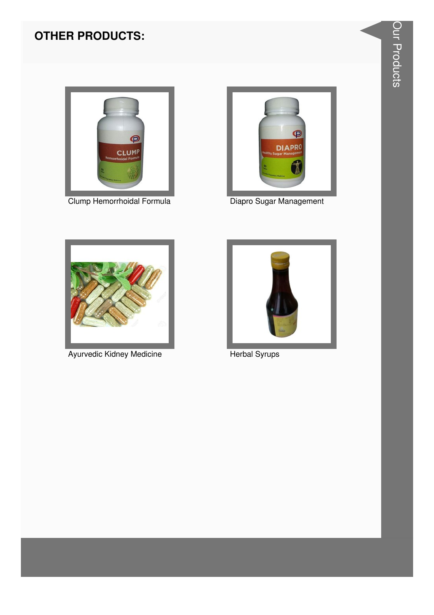

Clump Hemorrhoidal Formula



Diapro Sugar Management



Ayurvedic Kidney Medicine



**Herbal Syrups**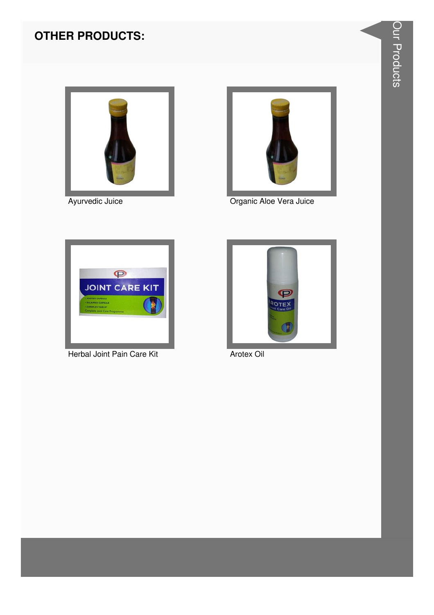

Ayurvedic Juice



Organic Aloe Vera Juice



Herbal Joint Pain Care Kit



Arotex Oil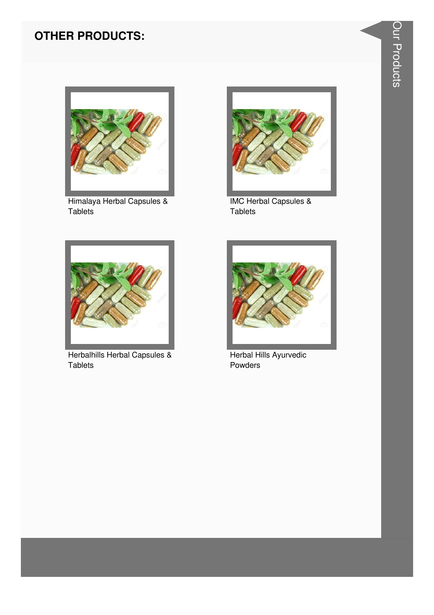

Himalaya Herbal Capsules & Tablets



**IMC Herbal Capsules &** Tablets



Herbalhills Herbal Capsules & Tablets



Herbal Hills Ayurvedic Powders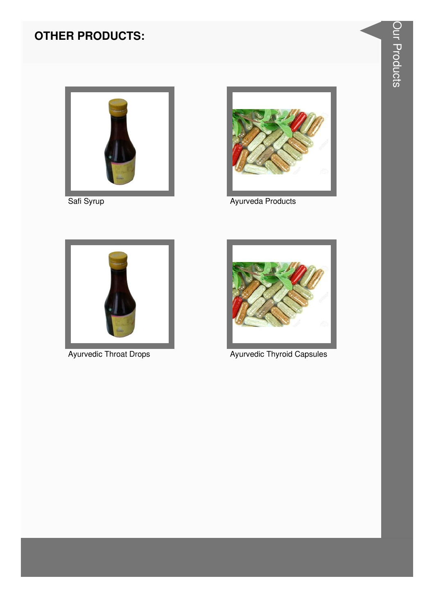

Safi Syrup



Ayurveda Products



**Ayurvedic Throat Drops** 



**Ayurvedic Thyroid Capsules**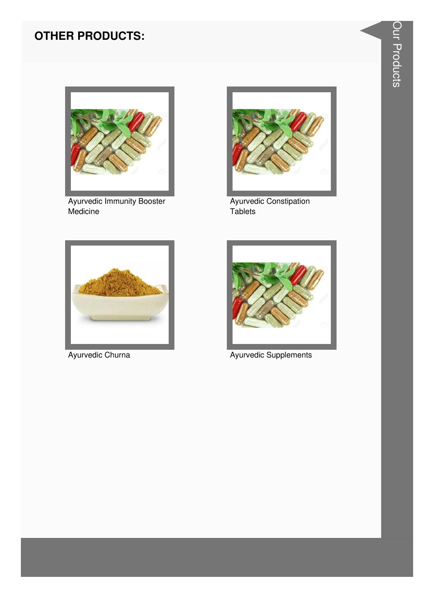

**Ayurvedic Immunity Booster** Medicine



Ayurvedic Constipation Tablets



Ayurvedic Churna



Ayurvedic Supplements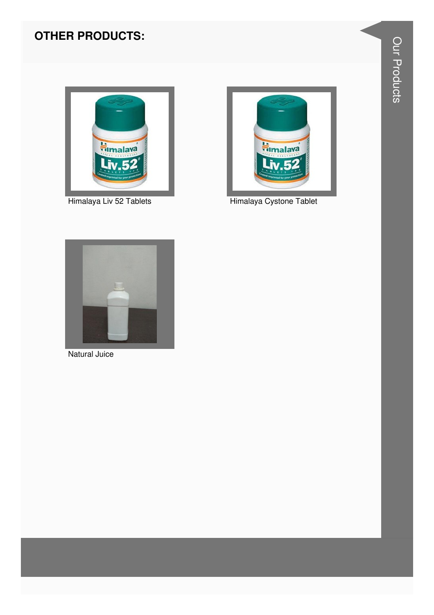

Himalaya Liv 52 Tablets



Himalaya Cystone Tablet



Natural Juice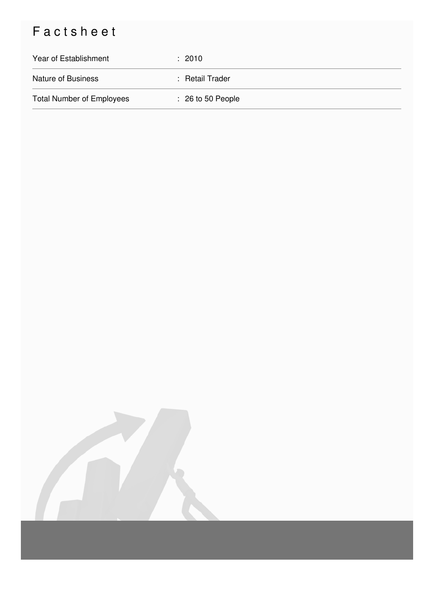## Factsheet

| Year of Establishment            | $\div$ 2010                  |
|----------------------------------|------------------------------|
| <b>Nature of Business</b>        | : Retail Trader              |
| <b>Total Number of Employees</b> | $\therefore$ 26 to 50 People |